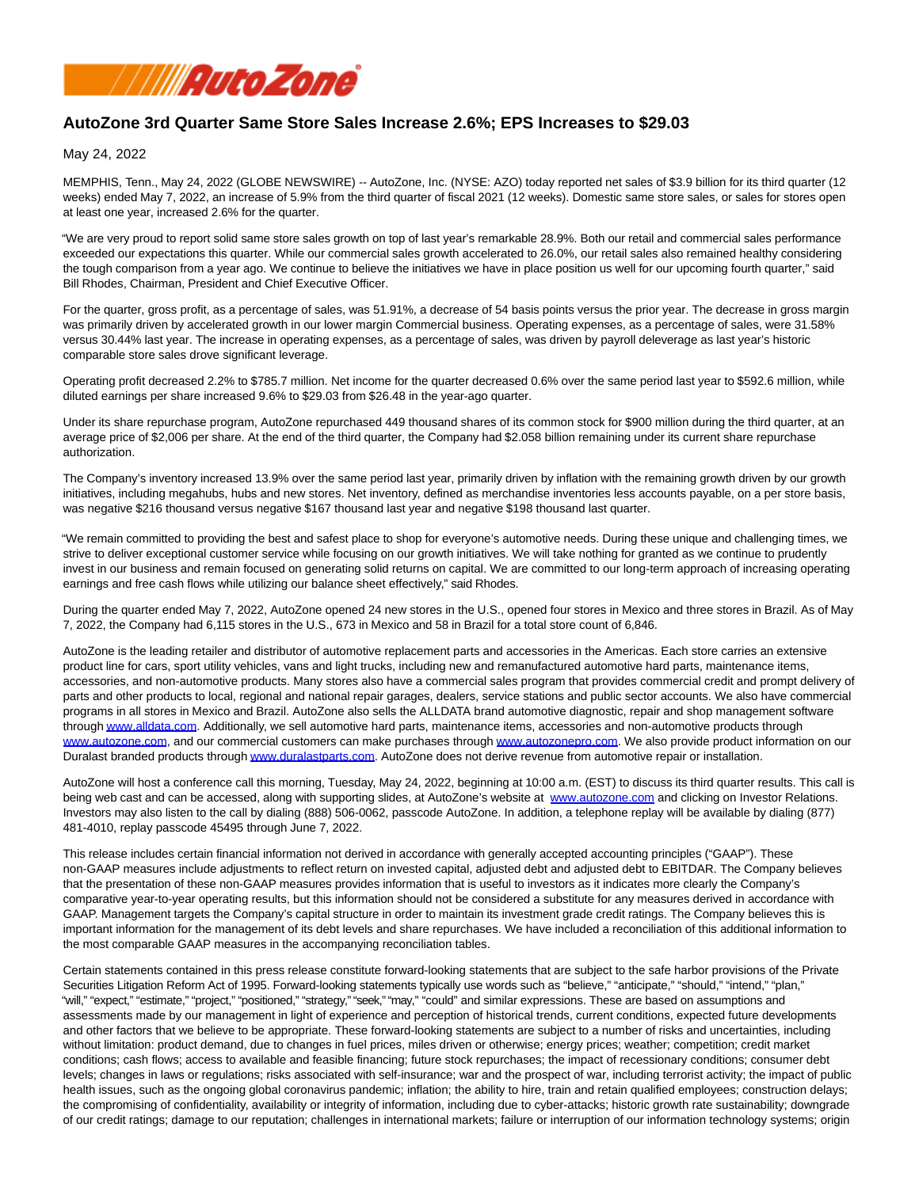

# **AutoZone 3rd Quarter Same Store Sales Increase 2.6%; EPS Increases to \$29.03**

May 24, 2022

MEMPHIS, Tenn., May 24, 2022 (GLOBE NEWSWIRE) -- AutoZone, Inc. (NYSE: AZO) today reported net sales of \$3.9 billion for its third quarter (12 weeks) ended May 7, 2022, an increase of 5.9% from the third quarter of fiscal 2021 (12 weeks). Domestic same store sales, or sales for stores open at least one year, increased 2.6% for the quarter.

"We are very proud to report solid same store sales growth on top of last year's remarkable 28.9%. Both our retail and commercial sales performance exceeded our expectations this quarter. While our commercial sales growth accelerated to 26.0%, our retail sales also remained healthy considering the tough comparison from a year ago. We continue to believe the initiatives we have in place position us well for our upcoming fourth quarter," said Bill Rhodes, Chairman, President and Chief Executive Officer.

For the quarter, gross profit, as a percentage of sales, was 51.91%, a decrease of 54 basis points versus the prior year. The decrease in gross margin was primarily driven by accelerated growth in our lower margin Commercial business. Operating expenses, as a percentage of sales, were 31.58% versus 30.44% last year. The increase in operating expenses, as a percentage of sales, was driven by payroll deleverage as last year's historic comparable store sales drove significant leverage.

Operating profit decreased 2.2% to \$785.7 million. Net income for the quarter decreased 0.6% over the same period last year to \$592.6 million, while diluted earnings per share increased 9.6% to \$29.03 from \$26.48 in the year-ago quarter.

Under its share repurchase program, AutoZone repurchased 449 thousand shares of its common stock for \$900 million during the third quarter, at an average price of \$2,006 per share. At the end of the third quarter, the Company had \$2.058 billion remaining under its current share repurchase authorization.

The Company's inventory increased 13.9% over the same period last year, primarily driven by inflation with the remaining growth driven by our growth initiatives, including megahubs, hubs and new stores. Net inventory, defined as merchandise inventories less accounts payable, on a per store basis, was negative \$216 thousand versus negative \$167 thousand last year and negative \$198 thousand last quarter.

"We remain committed to providing the best and safest place to shop for everyone's automotive needs. During these unique and challenging times, we strive to deliver exceptional customer service while focusing on our growth initiatives. We will take nothing for granted as we continue to prudently invest in our business and remain focused on generating solid returns on capital. We are committed to our long-term approach of increasing operating earnings and free cash flows while utilizing our balance sheet effectively," said Rhodes.

During the quarter ended May 7, 2022, AutoZone opened 24 new stores in the U.S., opened four stores in Mexico and three stores in Brazil. As of May 7, 2022, the Company had 6,115 stores in the U.S., 673 in Mexico and 58 in Brazil for a total store count of 6,846.

AutoZone is the leading retailer and distributor of automotive replacement parts and accessories in the Americas. Each store carries an extensive product line for cars, sport utility vehicles, vans and light trucks, including new and remanufactured automotive hard parts, maintenance items, accessories, and non-automotive products. Many stores also have a commercial sales program that provides commercial credit and prompt delivery of parts and other products to local, regional and national repair garages, dealers, service stations and public sector accounts. We also have commercial programs in all stores in Mexico and Brazil. AutoZone also sells the ALLDATA brand automotive diagnostic, repair and shop management software throug[h www.alldata.com.](http://www.alldata.com/) Additionally, we sell automotive hard parts, maintenance items, accessories and non-automotive products through [www.autozone.com,](http://www.autozone.com/) and our commercial customers can make purchases through [www.autozonepro.com.](http://www.autozonepro.com/) We also provide product information on our Duralast branded products through [www.duralastparts.com.](http://www.duralastparts.com/) AutoZone does not derive revenue from automotive repair or installation.

AutoZone will host a conference call this morning, Tuesday, May 24, 2022, beginning at 10:00 a.m. (EST) to discuss its third quarter results. This call is being web cast and can be accessed, along with supporting slides, at AutoZone's website at [www.autozone.com a](http://www.autozone.com/)nd clicking on Investor Relations. Investors may also listen to the call by dialing (888) 506-0062, passcode AutoZone. In addition, a telephone replay will be available by dialing (877) 481-4010, replay passcode 45495 through June 7, 2022.

This release includes certain financial information not derived in accordance with generally accepted accounting principles ("GAAP"). These non-GAAP measures include adjustments to reflect return on invested capital, adjusted debt and adjusted debt to EBITDAR. The Company believes that the presentation of these non-GAAP measures provides information that is useful to investors as it indicates more clearly the Company's comparative year-to-year operating results, but this information should not be considered a substitute for any measures derived in accordance with GAAP. Management targets the Company's capital structure in order to maintain its investment grade credit ratings. The Company believes this is important information for the management of its debt levels and share repurchases. We have included a reconciliation of this additional information to the most comparable GAAP measures in the accompanying reconciliation tables.

Certain statements contained in this press release constitute forward-looking statements that are subject to the safe harbor provisions of the Private Securities Litigation Reform Act of 1995. Forward-looking statements typically use words such as "believe," "anticipate," "should," "intend," "plan," "will," "expect," "estimate," "project," "positioned," "strategy," "seek," "may," "could" and similar expressions. These are based on assumptions and assessments made by our management in light of experience and perception of historical trends, current conditions, expected future developments and other factors that we believe to be appropriate. These forward-looking statements are subject to a number of risks and uncertainties, including without limitation: product demand, due to changes in fuel prices, miles driven or otherwise; energy prices; weather; competition; credit market conditions; cash flows; access to available and feasible financing; future stock repurchases; the impact of recessionary conditions; consumer debt levels; changes in laws or regulations; risks associated with self-insurance; war and the prospect of war, including terrorist activity; the impact of public health issues, such as the ongoing global coronavirus pandemic; inflation; the ability to hire, train and retain qualified employees; construction delays; the compromising of confidentiality, availability or integrity of information, including due to cyber-attacks; historic growth rate sustainability; downgrade of our credit ratings; damage to our reputation; challenges in international markets; failure or interruption of our information technology systems; origin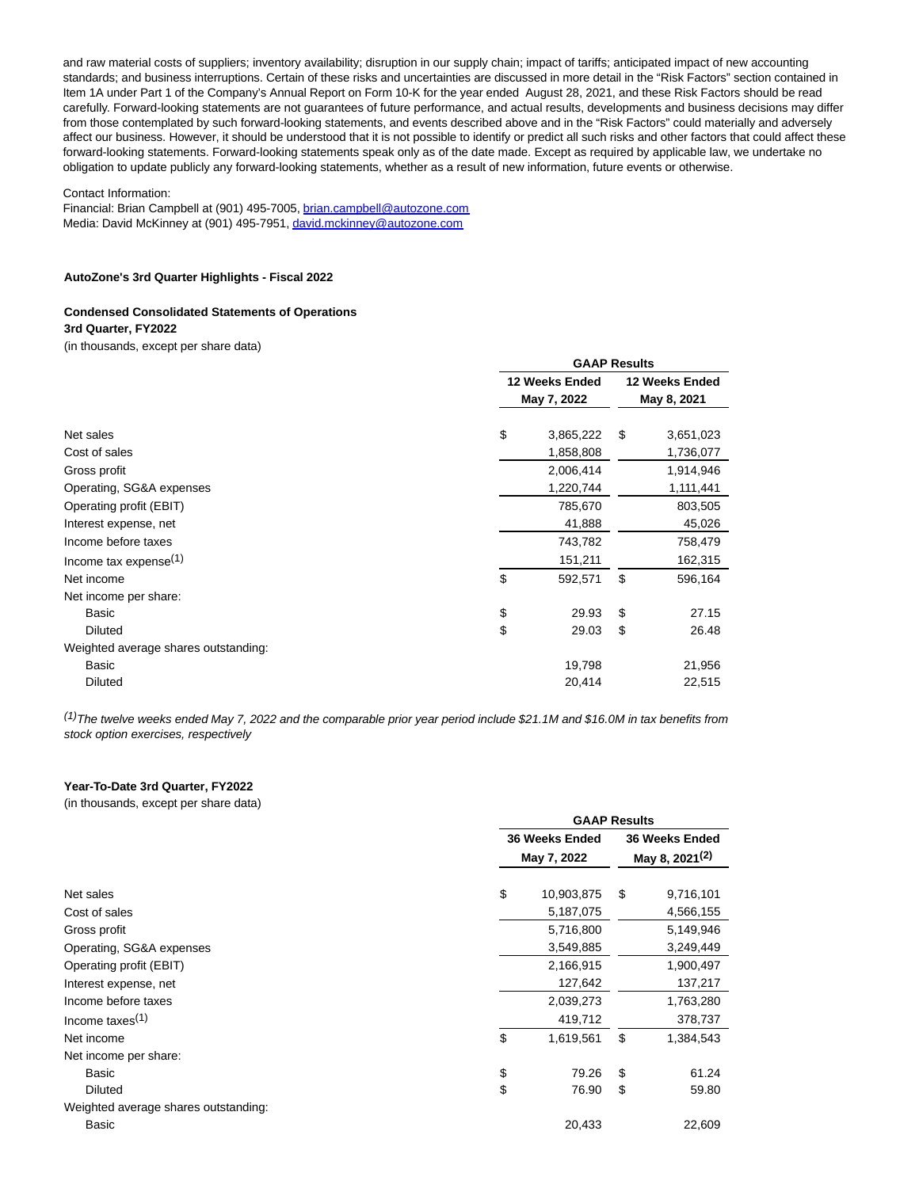and raw material costs of suppliers; inventory availability; disruption in our supply chain; impact of tariffs; anticipated impact of new accounting standards; and business interruptions. Certain of these risks and uncertainties are discussed in more detail in the "Risk Factors" section contained in Item 1A under Part 1 of the Company's Annual Report on Form 10-K for the year ended August 28, 2021, and these Risk Factors should be read carefully. Forward-looking statements are not guarantees of future performance, and actual results, developments and business decisions may differ from those contemplated by such forward-looking statements, and events described above and in the "Risk Factors" could materially and adversely affect our business. However, it should be understood that it is not possible to identify or predict all such risks and other factors that could affect these forward-looking statements. Forward-looking statements speak only as of the date made. Except as required by applicable law, we undertake no obligation to update publicly any forward-looking statements, whether as a result of new information, future events or otherwise.

#### Contact Information:

Financial: Brian Campbell at (901) 495-7005[, brian.campbell@autozone.com](https://www.globenewswire.com/Tracker?data=pANesLjPP0mDDFE18NKXKv9hHGjGi2lQFQgmH1Vf-IDqHD08WWieTu4gzvvcyExwINZugujeSsFQNvMFHcKuvd1wCHicsbIqQQjSICAxbbjYftuXCV4IfvgivOe7t1hX) Media: David McKinney at (901) 495-7951[, david.mckinney@autozone.com](https://www.globenewswire.com/Tracker?data=6s3GeXRD67G6agSGdGPQfHLBtvGfJuFc5222i_vvprtuYwrxKK-LFxtfzhNNHeQj5G9aIVePJMjbrB0KetHxYaf622S5DAmLUNe1MfnUYzI-4wGm0JNXvMIgFeveCOza)

#### **AutoZone's 3rd Quarter Highlights - Fiscal 2022**

# **Condensed Consolidated Statements of Operations**

**3rd Quarter, FY2022**

(in thousands, except per share data)

|                                      | <b>GAAP Results</b>           |    |                               |  |  |  |
|--------------------------------------|-------------------------------|----|-------------------------------|--|--|--|
|                                      | 12 Weeks Ended<br>May 7, 2022 |    | 12 Weeks Ended<br>May 8, 2021 |  |  |  |
|                                      |                               |    |                               |  |  |  |
| Net sales                            | \$<br>3,865,222               | \$ | 3,651,023                     |  |  |  |
| Cost of sales                        | 1,858,808                     |    | 1,736,077                     |  |  |  |
| Gross profit                         | 2,006,414                     |    | 1,914,946                     |  |  |  |
| Operating, SG&A expenses             | 1,220,744                     |    | 1,111,441                     |  |  |  |
| Operating profit (EBIT)              | 785,670                       |    | 803,505                       |  |  |  |
| Interest expense, net                | 41,888                        |    | 45,026                        |  |  |  |
| Income before taxes                  | 743,782                       |    | 758,479                       |  |  |  |
| Income tax expense $(1)$             | 151,211                       |    | 162,315                       |  |  |  |
| Net income                           | \$<br>592,571                 | \$ | 596,164                       |  |  |  |
| Net income per share:                |                               |    |                               |  |  |  |
| Basic                                | \$<br>29.93                   | \$ | 27.15                         |  |  |  |
| <b>Diluted</b>                       | \$<br>29.03                   | \$ | 26.48                         |  |  |  |
| Weighted average shares outstanding: |                               |    |                               |  |  |  |
| Basic                                | 19,798                        |    | 21,956                        |  |  |  |
| <b>Diluted</b>                       | 20,414                        |    | 22,515                        |  |  |  |

<sup>(1)</sup>The twelve weeks ended May 7, 2022 and the comparable prior year period include \$21.1M and \$16.0M in tax benefits from stock option exercises, respectively

#### **Year-To-Date 3rd Quarter, FY2022**

(in thousands, except per share data)

|                                      | <b>GAAP Results</b>   |    |                |  |  |  |
|--------------------------------------|-----------------------|----|----------------|--|--|--|
|                                      | <b>36 Weeks Ended</b> |    | 36 Weeks Ended |  |  |  |
|                                      | May 7, 2022           |    |                |  |  |  |
|                                      |                       |    |                |  |  |  |
| Net sales                            | \$<br>10,903,875      | \$ | 9,716,101      |  |  |  |
| Cost of sales                        | 5,187,075             |    | 4,566,155      |  |  |  |
| Gross profit                         | 5,716,800             |    | 5,149,946      |  |  |  |
| Operating, SG&A expenses             | 3,549,885             |    | 3,249,449      |  |  |  |
| Operating profit (EBIT)              | 2,166,915             |    | 1,900,497      |  |  |  |
| Interest expense, net                | 127,642               |    | 137,217        |  |  |  |
| Income before taxes                  | 2,039,273             |    | 1,763,280      |  |  |  |
| Income taxes $(1)$                   | 419,712               |    | 378,737        |  |  |  |
| Net income                           | \$<br>1,619,561       | \$ | 1,384,543      |  |  |  |
| Net income per share:                |                       |    |                |  |  |  |
| Basic                                | \$<br>79.26           | \$ | 61.24          |  |  |  |
| <b>Diluted</b>                       | \$<br>76.90           | \$ | 59.80          |  |  |  |
| Weighted average shares outstanding: |                       |    |                |  |  |  |
| Basic                                | 20,433                |    | 22,609         |  |  |  |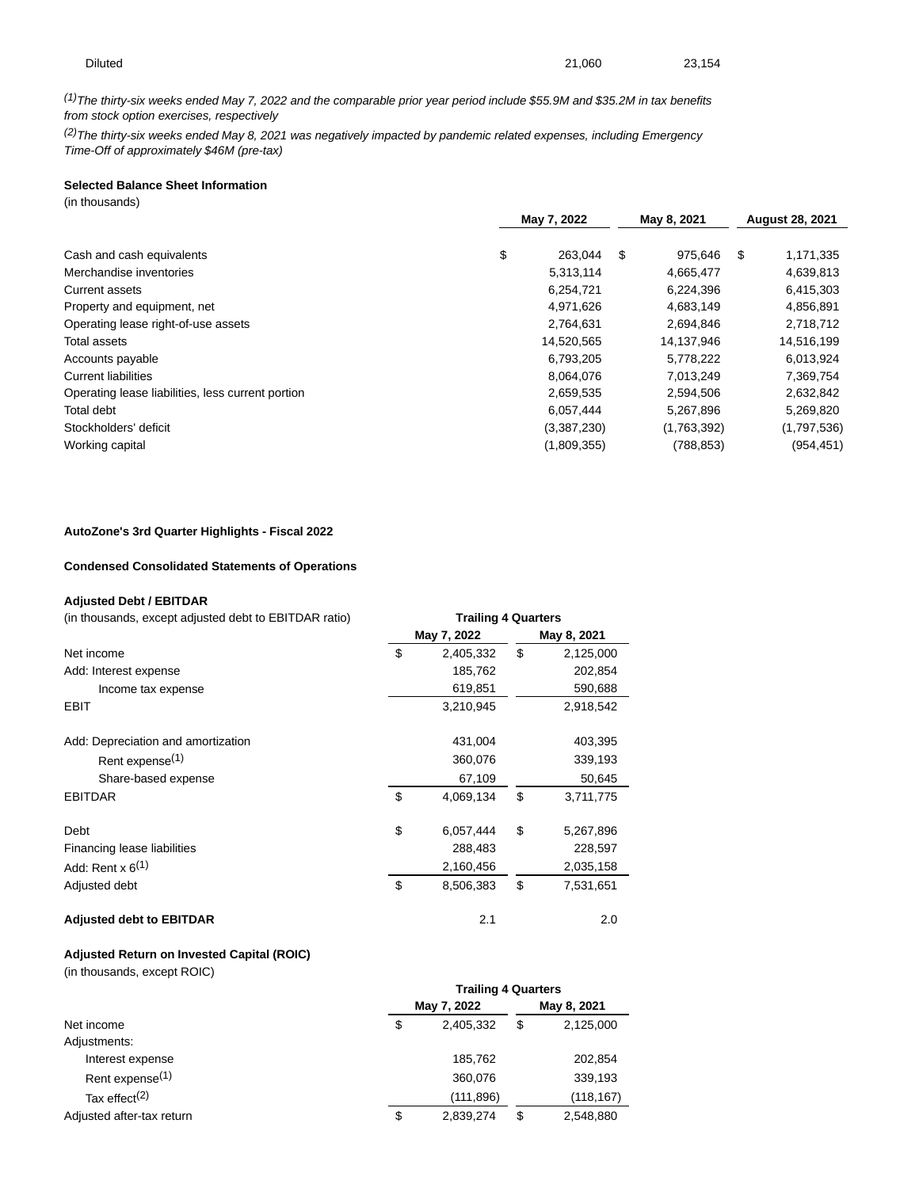$(1)$ The thirty-six weeks ended May 7, 2022 and the comparable prior year period include \$55.9M and \$35.2M in tax benefits from stock option exercises, respectively

 $(2)$ The thirty-six weeks ended May 8, 2021 was negatively impacted by pandemic related expenses, including Emergency Time-Off of approximately \$46M (pre-tax)

# **Selected Balance Sheet Information**

(in thousands)

|                                                   | May 7, 2022 |             | May 8, 2021 |             | <b>August 28, 2021</b> |             |
|---------------------------------------------------|-------------|-------------|-------------|-------------|------------------------|-------------|
|                                                   |             |             |             |             |                        |             |
| Cash and cash equivalents                         | \$          | 263.044     | \$          | 975.646     | \$.                    | 1,171,335   |
| Merchandise inventories                           |             | 5,313,114   |             | 4,665,477   |                        | 4,639,813   |
| <b>Current assets</b>                             |             | 6.254.721   |             | 6,224,396   |                        | 6,415,303   |
| Property and equipment, net                       |             | 4,971,626   |             | 4,683,149   |                        | 4,856,891   |
| Operating lease right-of-use assets               |             | 2,764,631   |             | 2,694,846   |                        | 2,718,712   |
| Total assets                                      |             | 14,520,565  |             | 14,137,946  |                        | 14,516,199  |
| Accounts payable                                  |             | 6,793,205   |             | 5,778,222   |                        | 6,013,924   |
| <b>Current liabilities</b>                        |             | 8.064.076   |             | 7.013.249   |                        | 7,369,754   |
| Operating lease liabilities, less current portion |             | 2,659,535   |             | 2,594,506   |                        | 2,632,842   |
| Total debt                                        |             | 6,057,444   |             | 5,267,896   |                        | 5,269,820   |
| Stockholders' deficit                             |             | (3,387,230) |             | (1,763,392) |                        | (1,797,536) |
| Working capital                                   |             | (1,809,355) |             | (788, 853)  |                        | (954,451)   |
|                                                   |             |             |             |             |                        |             |

### **AutoZone's 3rd Quarter Highlights - Fiscal 2022**

### **Condensed Consolidated Statements of Operations**

### **Adjusted Debt / EBITDAR**

| (in thousands, except adjusted debt to EBITDAR ratio) |    | <b>Trailing 4 Quarters</b> |    |           |  |  |  |  |
|-------------------------------------------------------|----|----------------------------|----|-----------|--|--|--|--|
|                                                       |    | May 7, 2022<br>May 8, 2021 |    |           |  |  |  |  |
| Net income                                            | \$ | 2,405,332                  | \$ | 2,125,000 |  |  |  |  |
| Add: Interest expense                                 |    | 185,762                    |    | 202,854   |  |  |  |  |
| Income tax expense                                    |    | 619,851                    |    | 590,688   |  |  |  |  |
| EBIT                                                  |    | 3,210,945                  |    | 2,918,542 |  |  |  |  |
| Add: Depreciation and amortization                    |    | 431.004                    |    | 403,395   |  |  |  |  |
| Rent expense <sup>(1)</sup>                           |    | 360,076                    |    | 339,193   |  |  |  |  |
| Share-based expense                                   |    | 67,109                     |    | 50,645    |  |  |  |  |
| <b>EBITDAR</b>                                        | \$ | 4,069,134                  | \$ | 3,711,775 |  |  |  |  |
| Debt                                                  | \$ | 6,057,444                  | \$ | 5,267,896 |  |  |  |  |
| Financing lease liabilities                           |    | 288,483                    |    | 228,597   |  |  |  |  |
| Add: Rent $x$ 6 <sup>(1)</sup>                        |    | 2,160,456                  |    | 2,035,158 |  |  |  |  |
| Adjusted debt                                         | \$ | 8,506,383                  | \$ | 7,531,651 |  |  |  |  |
| <b>Adjusted debt to EBITDAR</b>                       |    | 2.1                        |    | 2.0       |  |  |  |  |

### **Adjusted Return on Invested Capital (ROIC)**

(in thousands, except ROIC)

|                             |    | <b>Trailing 4 Quarters</b> |    |            |
|-----------------------------|----|----------------------------|----|------------|
|                             |    | May 7, 2022                |    |            |
| Net income                  | \$ | 2,405,332                  | \$ | 2,125,000  |
| Adjustments:                |    |                            |    |            |
| Interest expense            |    | 185,762                    |    | 202,854    |
| Rent expense <sup>(1)</sup> |    | 360,076                    |    | 339,193    |
| Tax effect <sup>(2)</sup>   |    | (111,896)                  |    | (118, 167) |
| Adjusted after-tax return   | \$ | 2,839,274                  | \$ | 2,548,880  |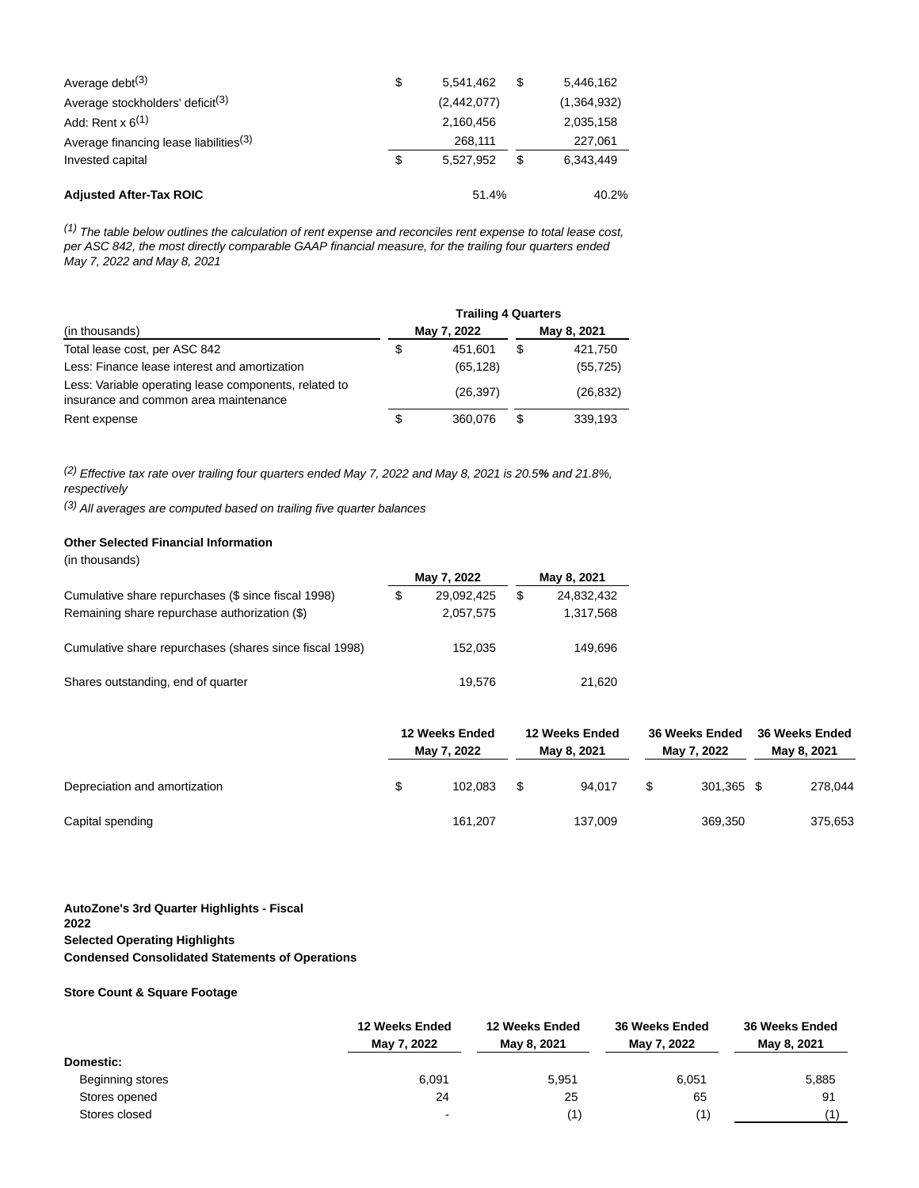| Average debt $(3)$                                 | \$<br>5.541.462 | \$<br>5.446.162 |
|----------------------------------------------------|-----------------|-----------------|
| Average stockholders' deficit <sup>(3)</sup>       | (2,442,077)     | (1,364,932)     |
| Add: Rent $x$ 6 <sup>(1)</sup>                     | 2.160.456       | 2,035,158       |
| Average financing lease liabilities <sup>(3)</sup> | 268.111         | 227,061         |
| Invested capital                                   | \$<br>5.527.952 | \$<br>6.343.449 |
| <b>Adjusted After-Tax ROIC</b>                     | 51.4%           | 40.2%           |

 $(1)$  The table below outlines the calculation of rent expense and reconciles rent expense to total lease cost, per ASC 842, the most directly comparable GAAP financial measure, for the trailing four quarters ended May 7, 2022 and May 8, 2021

|                                                                                                | <b>Trailing 4 Quarters</b> |             |    |             |  |  |  |
|------------------------------------------------------------------------------------------------|----------------------------|-------------|----|-------------|--|--|--|
| (in thousands)                                                                                 |                            | May 7, 2022 |    | May 8, 2021 |  |  |  |
| Total lease cost, per ASC 842                                                                  | \$                         | 451.601     | \$ | 421,750     |  |  |  |
| Less: Finance lease interest and amortization                                                  |                            | (65, 128)   |    | (55, 725)   |  |  |  |
| Less: Variable operating lease components, related to<br>insurance and common area maintenance |                            | (26, 397)   |    | (26, 832)   |  |  |  |
| Rent expense                                                                                   | \$                         | 360.076     | S  | 339.193     |  |  |  |

(2) Effective tax rate over trailing four quarters ended May 7, 2022 and May 8, 2021 is 20.5**%** and 21.8%, respectively

 $(3)$  All averages are computed based on trailing five quarter balances

# **Other Selected Financial Information**

| (in thousands) |  |
|----------------|--|
|----------------|--|

| ,                                                       |    | May 7, 2022 | May 8, 2021 |            |  |  |
|---------------------------------------------------------|----|-------------|-------------|------------|--|--|
| Cumulative share repurchases (\$ since fiscal 1998)     | SS | 29,092,425  | \$          | 24,832,432 |  |  |
| Remaining share repurchase authorization (\$)           |    | 2,057,575   |             | 1,317,568  |  |  |
| Cumulative share repurchases (shares since fiscal 1998) |    | 152.035     |             | 149.696    |  |  |
| Shares outstanding, end of quarter                      |    | 19.576      |             | 21.620     |  |  |

|                               | 12 Weeks Ended<br>May 7, 2022 |         | 12 Weeks Ended<br>May 8, 2021 |         | 36 Weeks Ended<br>May 7, 2022 |            | 36 Weeks Ended<br>May 8, 2021 |         |
|-------------------------------|-------------------------------|---------|-------------------------------|---------|-------------------------------|------------|-------------------------------|---------|
| Depreciation and amortization |                               | 102.083 |                               | 94.017  | \$                            | 301.365 \$ |                               | 278,044 |
| Capital spending              |                               | 161.207 |                               | 137.009 |                               | 369,350    |                               | 375,653 |

# **AutoZone's 3rd Quarter Highlights - Fiscal 2022 Selected Operating Highlights Condensed Consolidated Statements of Operations**

### **Store Count & Square Footage**

|                  | 12 Weeks Ended<br>May 7, 2022 | 12 Weeks Ended<br>May 8, 2021 | 36 Weeks Ended<br>May 7, 2022 | <b>36 Weeks Ended</b><br>May 8, 2021 |  |  |
|------------------|-------------------------------|-------------------------------|-------------------------------|--------------------------------------|--|--|
| <b>Domestic:</b> |                               |                               |                               |                                      |  |  |
| Beginning stores | 6,091                         | 5,951                         | 6,051                         | 5,885                                |  |  |
| Stores opened    | 24                            | 25                            | 65                            | 91                                   |  |  |
| Stores closed    | $\blacksquare$                | (1)                           | (1)                           |                                      |  |  |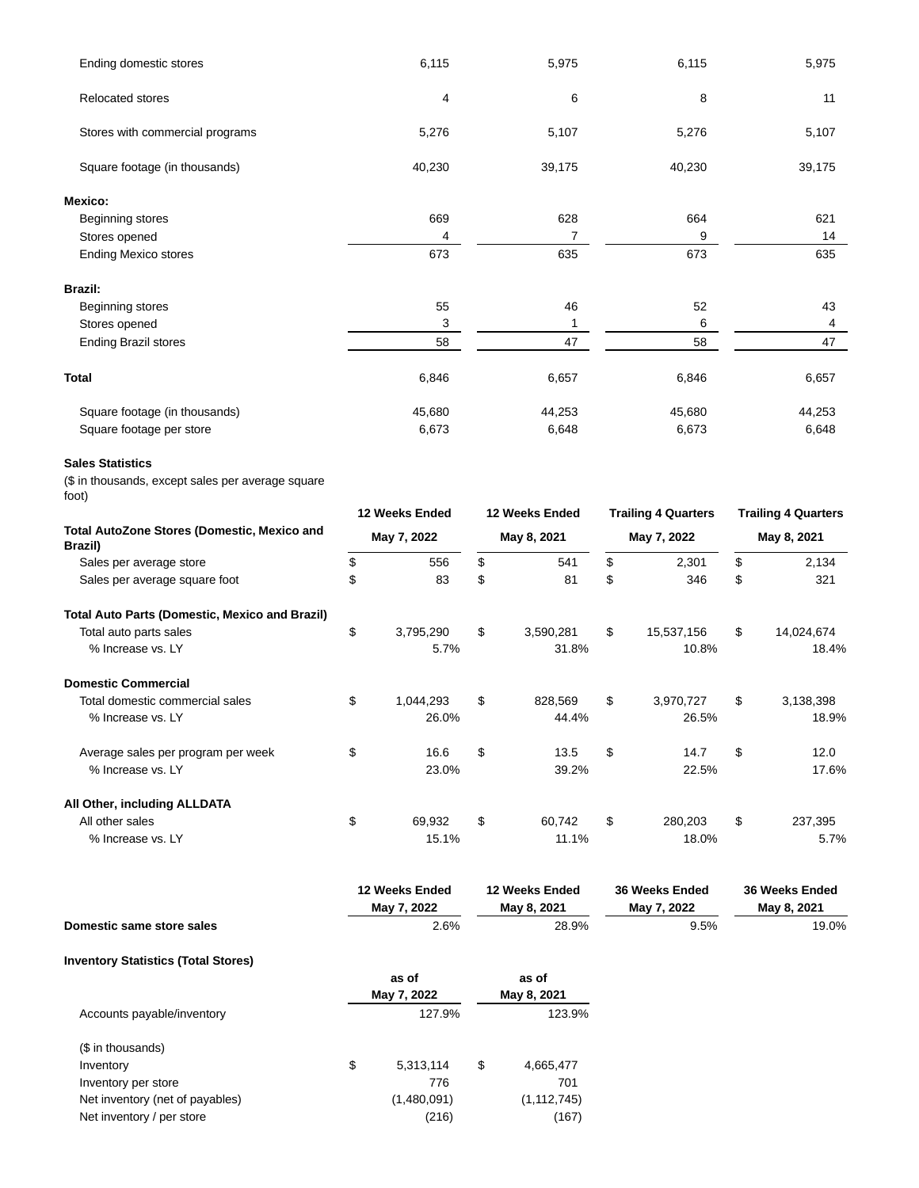| Ending domestic stores                                    | 6,115                                     |                | 5,975                         |                            | 6,115                         |                            | 5,975                         |
|-----------------------------------------------------------|-------------------------------------------|----------------|-------------------------------|----------------------------|-------------------------------|----------------------------|-------------------------------|
| <b>Relocated stores</b>                                   | 4                                         |                | 6                             |                            | 8                             |                            | 11                            |
| Stores with commercial programs                           | 5,276                                     |                | 5,107                         |                            | 5,276                         |                            | 5,107                         |
| Square footage (in thousands)                             | 40,230                                    |                | 39,175                        |                            | 40,230                        |                            | 39,175                        |
| Mexico:                                                   |                                           |                |                               |                            |                               |                            |                               |
| Beginning stores                                          | 669                                       |                | 628                           |                            | 664                           |                            | 621                           |
| Stores opened                                             | 4                                         |                | 7                             |                            | 9                             |                            | 14                            |
| <b>Ending Mexico stores</b>                               | 673                                       |                | 635                           |                            | 673                           |                            | 635                           |
| <b>Brazil:</b>                                            |                                           |                |                               |                            |                               |                            |                               |
| Beginning stores                                          | 55                                        |                | 46                            |                            | 52                            |                            | 43                            |
| Stores opened                                             | 3                                         |                | 1                             |                            | 6                             |                            | 4                             |
| <b>Ending Brazil stores</b>                               | 58                                        |                | 47                            |                            | 58                            |                            | 47                            |
| <b>Total</b>                                              | 6,846                                     |                | 6,657                         |                            | 6,846                         |                            | 6,657                         |
|                                                           |                                           |                |                               |                            |                               |                            |                               |
| Square footage (in thousands)<br>Square footage per store | 45,680<br>6,673                           |                | 44,253<br>6,648               |                            | 45,680<br>6,673               |                            | 44,253<br>6,648               |
| <b>Sales Statistics</b>                                   |                                           |                |                               |                            |                               |                            |                               |
| (\$ in thousands, except sales per average square         |                                           |                |                               |                            |                               |                            |                               |
| foot)                                                     |                                           |                |                               |                            |                               |                            |                               |
|                                                           | 12 Weeks Ended                            | 12 Weeks Ended |                               | <b>Trailing 4 Quarters</b> |                               | <b>Trailing 4 Quarters</b> |                               |
| Total AutoZone Stores (Domestic, Mexico and<br>Brazil)    | May 8, 2021<br>May 7, 2022<br>May 7, 2022 |                |                               | May 8, 2021                |                               |                            |                               |
| Sales per average store                                   | \$<br>556                                 | \$             | 541                           | \$                         | 2,301                         | \$                         | 2,134                         |
| Sales per average square foot                             | \$<br>83                                  | \$             | 81                            | \$                         | 346                           | \$                         | 321                           |
| <b>Total Auto Parts (Domestic, Mexico and Brazil)</b>     |                                           |                |                               |                            |                               |                            |                               |
| Total auto parts sales                                    | \$<br>3,795,290                           | \$             | 3,590,281                     | \$                         | 15,537,156                    | \$                         | 14,024,674                    |
| % Increase vs. LY                                         | 5.7%                                      |                | 31.8%                         |                            | 10.8%                         |                            | 18.4%                         |
| <b>Domestic Commercial</b>                                |                                           |                |                               |                            |                               |                            |                               |
| Total domestic commercial sales                           | \$<br>1,044,293                           | \$             | 828,569                       | \$                         | 3,970,727                     | \$                         | 3,138,398                     |
| % Increase vs. LY                                         | 26.0%                                     |                | 44.4%                         |                            | 26.5%                         |                            | 18.9%                         |
| Average sales per program per week                        | \$<br>16.6                                | \$             | 13.5                          | \$                         | 14.7                          | \$                         | 12.0                          |
| % Increase vs. LY                                         | 23.0%                                     |                | 39.2%                         |                            | 22.5%                         |                            | 17.6%                         |
|                                                           |                                           |                |                               |                            |                               |                            |                               |
| All Other, including ALLDATA<br>All other sales           | \$<br>69,932                              | \$             | 60,742                        | \$                         | 280,203                       | \$                         | 237,395                       |
| % Increase vs. LY                                         | 15.1%                                     |                | 11.1%                         |                            | 18.0%                         |                            | 5.7%                          |
|                                                           |                                           |                |                               |                            |                               |                            |                               |
|                                                           | 12 Weeks Ended<br>May 7, 2022             |                | 12 Weeks Ended<br>May 8, 2021 |                            | 36 Weeks Ended<br>May 7, 2022 |                            | 36 Weeks Ended<br>May 8, 2021 |
| Domestic same store sales                                 | 2.6%                                      |                | 28.9%                         |                            | 9.5%                          |                            | 19.0%                         |
| <b>Inventory Statistics (Total Stores)</b>                |                                           |                |                               |                            |                               |                            |                               |
|                                                           | as of                                     |                | as of                         |                            |                               |                            |                               |
|                                                           | May 7, 2022                               |                | May 8, 2021                   |                            |                               |                            |                               |
| Accounts payable/inventory                                | 127.9%                                    |                | 123.9%                        |                            |                               |                            |                               |
| (\$ in thousands)                                         |                                           |                |                               |                            |                               |                            |                               |
| Inventory                                                 | \$<br>5,313,114                           | \$             | 4,665,477                     |                            |                               |                            |                               |
| Inventory per store                                       | 776                                       |                | 701                           |                            |                               |                            |                               |
| Net inventory (net of payables)                           | (1,480,091)                               |                | (1, 112, 745)                 |                            |                               |                            |                               |

Net inventory / per store (216) (167)